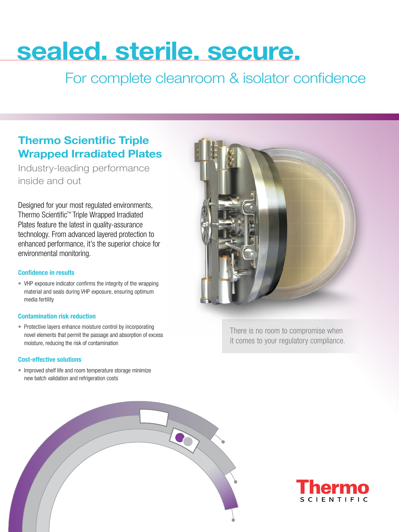# sealed. sterile. secure.

For complete cleanroom & isolator confidence

## Thermo Scientific Triple Wrapped Irradiated Plates

Industry-leading performance inside and out

Designed for your most regulated environments, Thermo Scientific™ Triple Wrapped Irradiated Plates feature the latest in quality-assurance technology. From advanced layered protection to enhanced performance, it's the superior choice for environmental monitoring.

### Confidence in results

• VHP exposure indicator confirms the integrity of the wrapping material and seals during VHP exposure, ensuring optimum media fertility

#### Contamination risk reduction

• Protective layers enhance moisture control by incorporating novel elements that permit the passage and absorption of excess moisture, reducing the risk of contamination

### Cost-effective solutions

• Improved shelf life and room temperature storage minimize new batch validation and refrigeration costs



There is no room to compromise when it comes to your regulatory compliance.